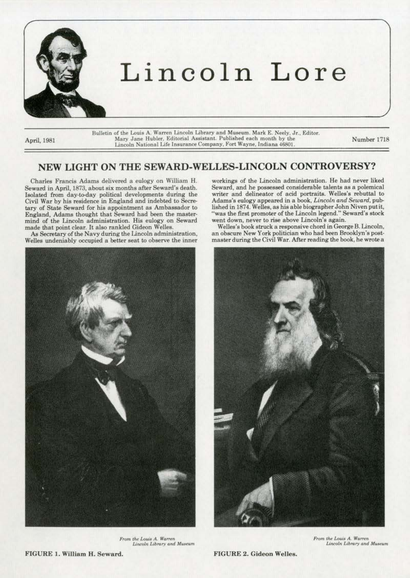

Bulletin of the Louis A. Warren Lincoln Library and Museum. Mark E. Neely, Jr., Editor. April, 1981 **Mary Jane Hubler**, Editorial Assistant. Published each month by the **Lincoln National L.ife lnsuranceCompany, Fort Wayne. Indiana 46801.** 

Number 1718

## **NEW LIGHT ON THE SEWARD-WELLES-LINCOLN CONTROVERSY?**

Charles Francis Adams delivered a eulogy on William H. Seward in April, 1873, about six months after Seward's death. Isolated from day-to-day political developments during the Civil War by his residence in England and indebted to Secretary of State Seward for his appointment as Ambassador to England, Adams thought that Seward bad been the master· mind of the Lincoln administration. His eulogy on Seward made that point clear. It also rankled Gideon Welles.

As Secretary of the Navy during the Lincoln administration, **Welles undeniably occupied a better seat to observe the inner** 



 $From the Louis A. Warren$ *Lincoln Library* and Museum

workings of the Lincoln administration. He had never liked Seward, and he possessed considerable talents as a polemical writer and delineator of acid portraits. Welles's rebuttal to Adams's eulogy appeared in a book, *Lincoln and Seward,* pub· lished in 1874. Welles, as his able biographer John Niven put it, "was the first promoter of the Lincoln legend." Seward's stock **went down, never to rise above Lincoln's again.** 

Welles's book struck a responsive chord in George B. Lincoln, an obscure New York politician who had been Brooklyn's postmaster during the Civil War. After reading the book, he wrote a



**From the Louis A. Warren** Lincoln Library and Museum

FIGURE l. William H. Seward.

FIGURE 2. Gideon Welles.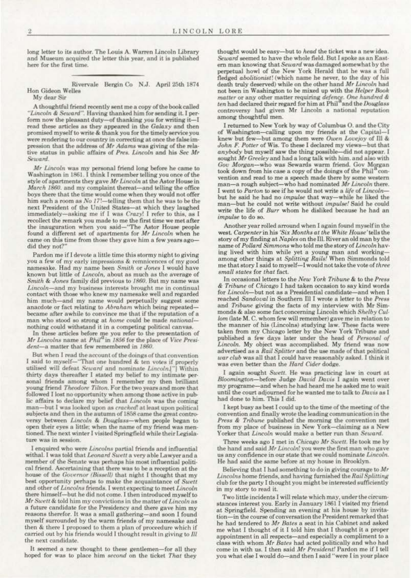long letter to its author. The Louis A. Warren Lincoln Library and Museum acquired the letter this year, and it is published here for the first time.

Rivervale Bergin Co N.J. April 25th 1874 Hon Gideon Welles

My dear Sir

A thoughtful friend recently sent me a copy of the book called "Lincoln & Seward". Having thanked him for sending it. I perform now the pleasant duty-of thanking you for writing it-I read these articles as they appeared in the Galaxy and then promised myself to write & thank you for the timely service you were rendering to our country in correcting at once the false impression that the address of Mr Adams was giving of the relative status in public affairs of Pres. Lincoln and his Sec Mr Seward.

Mr Lincoln was my personal friend long before he came to Washington in 1861. I think I remember telling you once of the style of apartments they gave Mr Lincoln at the Astor House in March 1860, and my complaint thereat-and telling the office boys there that the time would come when they would not offer him such a room as No 17!-telling them that he was to be the next President of the United States-at which they laughed immediately-asking me if I was Crazy! I refer to this, as I recollect the remark you made to me the first time we met after<br>the inauguration when you said—"The Astor House people found a different set of apartments for Mr Lincoln when he came on this time from those they gave him a few years agodid they not?"

Pardon me if I devote a little time this stormy night to giving you a few of my early impressions & remnicences of my good namesake. Had my name been Smith or Jones I would have known but little of Lincoln, about as much as the average of Smith & Jones family did previous to 1860. But my name was Lincoln-and my business interests brought me in continual contact with those who knew my namesake well and regarded him much—and my name would perpetually suggest some anacdote or fact relating to Abraham which being repeated became after awhile to convince me that if the reputation of a man who stood so strong at home could be made nationalnothing could withstand it in a competing political canvas.

In these articles before me you refer to the presentation of Mr Lincolns name at Phil<sup>a</sup> in 1856 for the place of Vice President-a matter that few remembered in 1860.

But when I read the account of the doings of that convention I said to myself-"That one hundred & ten votes if properly utilised will defeat Seward and nominate Lincoln ["] Within thirty days thereafter I stated my belief to my intimate personal friends among whom I remember my then brilliant<br>young friend Theodore Tilton. For the two years and more that followed I lost no opportunity when among those active in public affairs to declare my belief that Lincoln was the coming man-but I was looked upon as cracked! at least upon political subjects and then in the autumn of 1858 came the great controversy between Lincoln & Douglass-when people began to open their eyes a little; when the name of my friend was mentioned. The next winter I visited Springfield while their Legislature was in session.

I enquired who were Lincolns partial friends and influential withal. I was told that Leonard Swett a very able Lawyer and a member of the Senate was perhaps his most influential political friend. Ascertaining that there was to be a reception at the house of the Governor (Bissell) that night I thought that my best opportunity perhaps to make the acquaintance of Swett and other of Lincolns friends. I went expecting to meet Lincoln there himself-but he did not come. I then introduced myself to Mr Swett & told him my convictions in the matter of Lincoln as a future candidate for the Presidency and there gave him my reasons therefor. It was a small gathering-and soon I found myself surrounded by the warm friends of my namesake and then & there I proposed to them a plan of proceedure which if carried out by his friends would I thought result in giving to Ill the next candidate.

It seemed a new thought to these gentlemen-for all they hoped for was to place him second on the ticket That they

thought would be easy-but to head the ticket was a new idea. Seward seemed to have the whole field. But I spoke as an Eastern man knowing that Seward was damaged somewhat by the perpetual howl of the New York Herald that he was a full fledged abolitionist! (which name he never, to the day of his death truly deserved) while on the other hand Mr Lincoln had not been in Washington to be mixed up with the Helper Book matter or any other matter requiring defence. One hundred  $\&$  ten had declared their regard for him at  ${\rm Phil}^3$  and the Douglass controversy had given Mr Lincoln a national reputation among thoughtful men.

I returned to New York by way of Columbus O. and the City of Washington-calling upon my friends at the Capital-I knew but few-but among them were Owen Lovejoy of Ill & John F. Potter of Wis. To these I declared my views-but that anybody but myself saw the thing possible-did not appear. I sought Mr Greeley and had a long talk with him. and also with Gov Morgan-who was Sewards warm friend. Gov Morgan took down from his case a copy of the doings of the Phil<sup>a</sup> convention and read to me a speech made there by some western man-a rough subject-who had nominated Mr Lincoln there. I went to Parton to see if he would not write a life of Lincolnbut he said he had no *impulse* that way-while he liked the man-but he could not write without *impulse!* Said he could write the life of Burr whom he disliked because he had an impulse to do so.

Another year rolled arround when I again found myself in the west. Carpenter in his 'Six Months at the White House' tells the story of my finding at Naples on the Ill. River an old man by the name of Pollard Simmons who told me the story of Lincoln having lived with him while yet a young man and workingamong other things at Splitting Rails! When Simmonds told me that story I said to myself-I would not take the vote of three small states for that fact.

In occasional letters to the New York Tribune & to the Press & Tribune of Chicago I had taken occasion to say kind words for Lincoln-but not as a Presidential candidate-and when I reached Sandoval in Southern Ill I wrote a letter to the Press and Tribune giving the facts of my interview with Mr Simmonds & also some fact concerning Lincoln which Shelby Cullom (late M. C. whom few will remember) gave me in relation to the manner of his (Lincolns) studying law. These facts were taken from my Chicago letter by the New York Tribune and published a few days later under the head of Personal of Lincoln. My object was accomplished. My friend was now advertised as a Rail Splitter and the use made of that political war club was all that I could have reasonably asked. I think it was even better than the Hard Cider dodge.

I again sought Swett. He was practicing law in court at Bloomington-before Judge David Davis I again went over my programe-and when he had heard me he asked me to wait until the court adjourned for he wanted me to talk to Davis as I had done to him. This I did.

I kept busy as best I could up to the time of the meeting of the convention and finally wrote the leading communication in the Press & Tribune published the morning the convention met from my place of business in New York-claiming as a New Yorker that Lincoln would make a better run than Seward.

Three weeks ago I met in Chicago Mr Swett. He took me by the hand and said Mr Lincoln! you were the first man who gave us any confidence in our state that we could nominate Lincoln. He had said the same before at my house in Brooklyn.

Believing that I had something to do in giving courage to Mr Lincolns home friends, and having furnished the Rail Splitting club for the party I thought you might be interested sufficiently in my story to read it.

Two little incidents I will relate which may, under the circumstances interest you. Early in January 1861 I visited my friend at Springfield. Spending an evening at his house by invitation-in the course of conversation the President remarked that he had tendered to Mr Bates a seat in his Cabinet and asked me what I thought of it I told him that I thought it a proper appointment in all respects-and especially a compliment to a class with whom Mr Bates had acted politically and who had come in with us. I then said Mr President! Pardon me if I tell you what else I would do-and then I said "were I in your place

 $\boldsymbol{2}$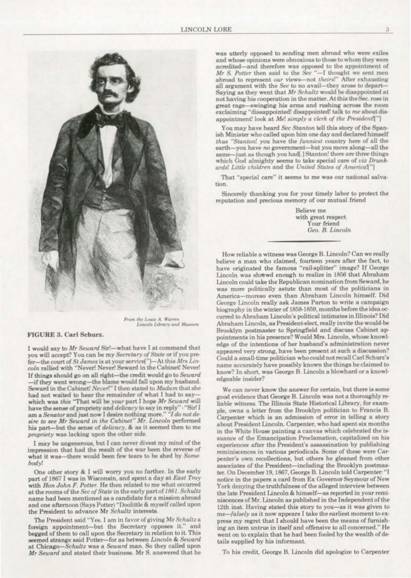was utterly opposed to sending men abroad who were exiles and whose opinions were obnoxious to those to whom they were acredited-and therefore was opposed to the appointment of Mr S. Potter then said to the Sec "-I thought we sent men abroad to represent our views-not theirs!" After exhausting all argument with the Sec to no avail-they arose to depart-Saying as they went that Mr Schultz would be disappointed at not having his cooperation in the matter. At this the Sec. rose in great rage-swinging his arms and rushing across the room exclaiming "dissappointed! disappointed! talk to me about disappointment! look at Me! simply a clerk of the President!"]

You may have heard Sec Stanton tell this story of the Spanish Minister who called upon him one day and declared himself thus "Stanton! you have the funniest country here of all the earth-you have no government-but you move along-all the -just as though you had[.] Stanton! there are three things samewhich God almighty seems to take special care of viz Drunkards! Little children and the United States of Americal"]

That "special care" it seems to me was our national salvation.

Sincerely thanking you for your timely labor to protect the reputation and precious memory of our mutual friend

> Believe me with great respect Your friend Geo. B. Lincoln

How reliable a witness was George B. Lincoln? Can we really believe a man who claimed, fourteen years after the fact, to have originated the famous "rail-splitter" image? If George Lincoln was shrewd enough to realize in 1856 that Abraham Lincoln could take the Republican nomination from Seward, he was more politically astute than most of the politicians in America-moreso even than Abraham Lincoln himself. Did George Lincoln really ask James Parton to write a campaign biography in the winter of 1858-1859, months before the idea occurred to Abraham Lincoln's political intimates in Illinois? Did Abraham Lincoln, as President-elect, really invite the would-be Brooklyn postmaster to Springfield and discuss Cabinet appointments in his presence? Would Mrs. Lincoln, whose knowledge of the intentions of her husband's administration never appeared very strong, have been present at such a discussion? Could a small-time politician who could not recall Carl Schurz's name accurately have possibly known the things he claimed to know? In short, was George B. Lincoln a blowhard or a knowledgeable insider?

We can never know the answer for certain, but there is some good evidence that George B. Lincoln was not a thoroughly reliable witness. The Illinois State Historical Library, for example, owns a letter from the Brooklyn politician to Francis B. Carpenter which is an admission of error in telling a story about President Lincoln. Carpenter, who had spent six months in the White House painting a canvas which celebrated the issuance of the Emancipation Proclamation, capitalized on his experiences after the President's assassination by publishing reminiscences in various periodicals. Some of these were Carpenter's own recollections, but others he gleaned from other associates of the President-including the Brooklyn postmaster. On December 19, 1867, George B. Lincoln told Carpenter: "I notice in the papers a card from Ex Governor Seymour of New York denying the truthfulness of the alleged interview between the late President Lincoln & himself-as reported in your reminiscences of Mr. Lincoln as published in the Independent of the 12th inst. Having stated this story to you-as it was given to me-falsely as it now appears I take the earliest moment to express my regret that I should have been the means of furnishing an item untrue in itself and offensive to all concerned." He went on to explain that he had been fooled by the wealth of details supplied by his informant.

To his credit, George B. Lincoln did apologize to Carpenter

From the Louis A. Warren<br>Lincoln Library and Museum

## FIGURE 3. Carl Schurz.

I would say to Mr Seward Sir!-what have I at command that you will accept? You can be my Secretary of State or if you prefer-the court of St James is at your service["]-At this Mrs Lincoln rallied with "Never! Never! Seward in the Cabinet! Never! If things should go on all right-the credit would go to Seward -if they went wrong-the blame would fall upon my husband. Seward in the Cabinet! Never!" I then stated to Madam that she had not waited to hear the remainder of what I had to saywhich was this "That will be your part I hope Mr Seward will have the sense of propriety and delicacy to say in reply" - "Sir! I am a Senator and just now I desire nothing more." "I do not de sire to see Mr Seward in the Cabinet" Mr. Lincoln performed his part-but the sense of *delicacy*, & as it seemed then to me propriety was lacking upon the other side.

I may be ungenerous, but I can never divest my mind of the impression that had the result of the war been the reverse of what it was-there would been few tears to be shed by Somebody!

One other story & I will worry you no farther. In the early part of 1867 I was in Wisconsin, and spent a day at East Troy with Hon John F. Potter. He then related to me what occurred at the rooms of the Sec of State in the early part of 1861. Schultz name had been mentioned as a candidate for a mission abroad and one afternoon (Says Potter) "Doolittle & myself called upon the President to advance Mr Schultz interests.

The President said "Yes. I am in favor of giving Mr Schultz a foreign appointment-but the Secretary opposes it." and begged of them to call upon the Secretary in relation to it. This seemed strange said Potter-for as between Lincoln & Seward at Chicago-Schultz was a Seward man. So they called upon Mr Seward and stated their business. Mr S. answered that he